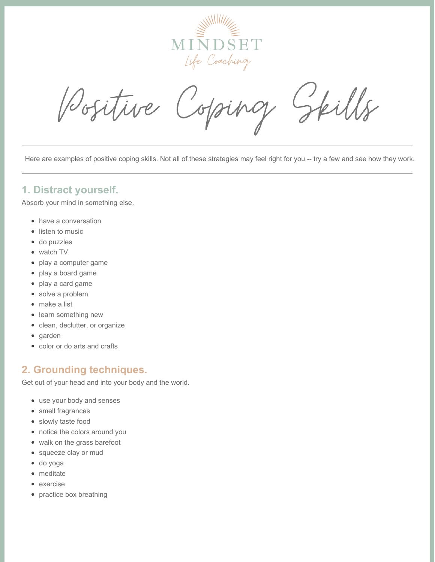

kills Positive oping

Here are examples of positive coping skills. Not all of these strategies may feel right for you -- try a few and see how they work.

#### **1. Distract yourself.**

Absorb your mind in something else.

- have a conversation
- listen to music
- do puzzles
- watch TV
- play a computer game
- play a board game
- play a card game
- solve a problem
- make a list
- learn something new
- clean, declutter, or organize
- garden
- color or do arts and crafts

### **2. Grounding techniques.**

Get out of your head and into your body and the world.

- use your body and senses
- smell fragrances
- slowly taste food
- notice the colors around you
- walk on the grass barefoot
- squeeze clay or mud
- do yoga
- meditate
- exercise
- practice box breathing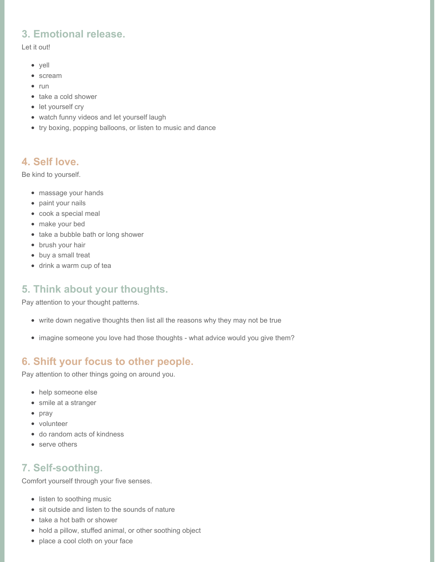# **3. Emotional release.**

Let it out!

- yell
- scream
- $\bullet$  run
- take a cold shower
- let yourself cry
- watch funny videos and let yourself laugh
- try boxing, popping balloons, or listen to music and dance

## **4. Self love.**

Be kind to yourself.

- massage your hands
- paint your nails
- cook a special meal
- make your bed
- take a bubble bath or long shower
- brush your hair
- buy a small treat
- drink a warm cup of tea

# **5. Think about your thoughts.**

Pay attention to your thought patterns.

- write down negative thoughts then list all the reasons why they may not be true
- imagine someone you love had those thoughts what advice would you give them?

# **6. Shift your focus to other people.**

Pay attention to other things going on around you.

- help someone else
- smile at a stranger
- pray
- volunteer
- do random acts of kindness
- serve others

## **7. Self-soothing.**

Comfort yourself through your five senses.

- listen to soothing music
- sit outside and listen to the sounds of nature
- take a hot bath or shower
- hold a pillow, stuffed animal, or other soothing object
- place a cool cloth on your face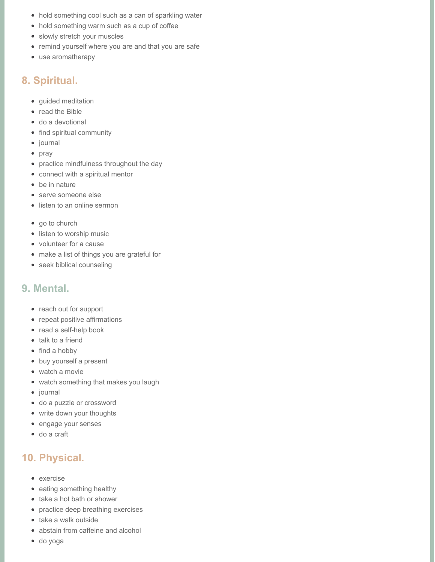- hold something cool such as a can of sparkling water
- hold something warm such as a cup of coffee
- slowly stretch your muscles
- remind yourself where you are and that you are safe
- use aromatherapy

#### **8. Spiritual.**

- guided meditation
- read the Bible
- do a devotional
- find spiritual community
- journal
- pray
- practice mindfulness throughout the day
- connect with a spiritual mentor
- be in nature
- serve someone else
- listen to an online sermon
- go to church
- listen to worship music
- volunteer for a cause
- make a list of things you are grateful for
- seek biblical counseling

#### **9. Mental.**

- reach out for support
- repeat positive affirmations
- read a self-help book
- talk to a friend
- $\bullet$  find a hobby
- buy yourself a present
- watch a movie
- watch something that makes you laugh
- journal
- do a puzzle or crossword
- write down your thoughts
- engage your senses
- do a craft

## **10. Physical.**

- exercise
- eating something healthy
- take a hot bath or shower
- practice deep breathing exercises
- take a walk outside
- abstain from caffeine and alcohol
- do yoga